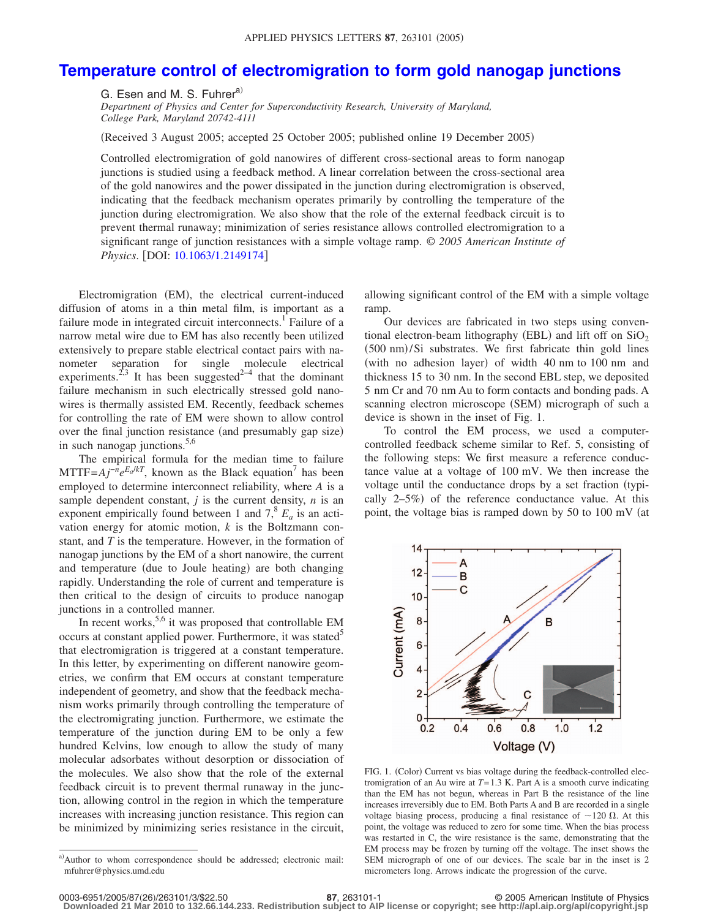## **[Temperature control of electromigration to form gold nanogap junctions](http://dx.doi.org/10.1063/1.2149174)**

G. Esen and M. S. Fuhrer<sup>a)</sup>

*Department of Physics and Center for Superconductivity Research, University of Maryland, College Park, Maryland 20742-4111*

Received 3 August 2005; accepted 25 October 2005; published online 19 December 2005-

Controlled electromigration of gold nanowires of different cross-sectional areas to form nanogap junctions is studied using a feedback method. A linear correlation between the cross-sectional area of the gold nanowires and the power dissipated in the junction during electromigration is observed, indicating that the feedback mechanism operates primarily by controlling the temperature of the junction during electromigration. We also show that the role of the external feedback circuit is to prevent thermal runaway; minimization of series resistance allows controlled electromigration to a significant range of junction resistances with a simple voltage ramp. © *2005 American Institute of Physics*. [DOI: [10.1063/1.2149174](http://dx.doi.org/10.1063/1.2149174)]

Electromigration (EM), the electrical current-induced diffusion of atoms in a thin metal film, is important as a failure mode in integrated circuit interconnects.<sup>1</sup> Failure of a narrow metal wire due to EM has also recently been utilized extensively to prepare stable electrical contact pairs with nanometer separation for single molecule electrical experiments.<sup>2,3</sup> It has been suggested<sup>2-4</sup> that the dominant failure mechanism in such electrically stressed gold nanowires is thermally assisted EM. Recently, feedback schemes for controlling the rate of EM were shown to allow control over the final junction resistance (and presumably gap size) in such nanogap junctions. $5,6$ 

The empirical formula for the median time to failure MTTF= $Aj^{-n}e^{E_a/kT}$ , known as the Black equation<sup>7</sup> has been employed to determine interconnect reliability, where *A* is a sample dependent constant, *j* is the current density, *n* is an exponent empirically found between 1 and  $7<sup>8</sup> E<sub>a</sub>$  is an activation energy for atomic motion, *k* is the Boltzmann constant, and *T* is the temperature. However, in the formation of nanogap junctions by the EM of a short nanowire, the current and temperature (due to Joule heating) are both changing rapidly. Understanding the role of current and temperature is then critical to the design of circuits to produce nanogap junctions in a controlled manner.

In recent works,  $5,6$  it was proposed that controllable EM occurs at constant applied power. Furthermore, it was stated<sup>5</sup> that electromigration is triggered at a constant temperature. In this letter, by experimenting on different nanowire geometries, we confirm that EM occurs at constant temperature independent of geometry, and show that the feedback mechanism works primarily through controlling the temperature of the electromigrating junction. Furthermore, we estimate the temperature of the junction during EM to be only a few hundred Kelvins, low enough to allow the study of many molecular adsorbates without desorption or dissociation of the molecules. We also show that the role of the external feedback circuit is to prevent thermal runaway in the junction, allowing control in the region in which the temperature increases with increasing junction resistance. This region can be minimized by minimizing series resistance in the circuit,

allowing significant control of the EM with a simple voltage ramp.

Our devices are fabricated in two steps using conventional electron-beam lithography (EBL) and lift off on  $SiO<sub>2</sub>$ (500 nm)/Si substrates. We first fabricate thin gold lines (with no adhesion layer) of width 40 nm to 100 nm and thickness 15 to 30 nm. In the second EBL step, we deposited 5 nm Cr and 70 nm Au to form contacts and bonding pads. A scanning electron microscope (SEM) micrograph of such a device is shown in the inset of Fig. 1.

To control the EM process, we used a computercontrolled feedback scheme similar to Ref. 5, consisting of the following steps: We first measure a reference conductance value at a voltage of 100 mV. We then increase the voltage until the conductance drops by a set fraction (typically  $2-5\%$ ) of the reference conductance value. At this point, the voltage bias is ramped down by  $50$  to  $100 \text{ mV}$  (at



FIG. 1. (Color) Current vs bias voltage during the feedback-controlled electromigration of an Au wire at  $T=1.3$  K. Part A is a smooth curve indicating than the EM has not begun, whereas in Part B the resistance of the line increases irreversibly due to EM. Both Parts A and B are recorded in a single voltage biasing process, producing a final resistance of  $\sim$ 120  $\Omega$ . At this point, the voltage was reduced to zero for some time. When the bias process was restarted in C, the wire resistance is the same, demonstrating that the EM process may be frozen by turning off the voltage. The inset shows the SEM micrograph of one of our devices. The scale bar in the inset is 2 micrometers long. Arrows indicate the progression of the curve.

a)Author to whom correspondence should be addressed; electronic mail: mfuhrer@physics.umd.edu

**<sup>87</sup>**, 263101-1 © 2005 American Institute of Physics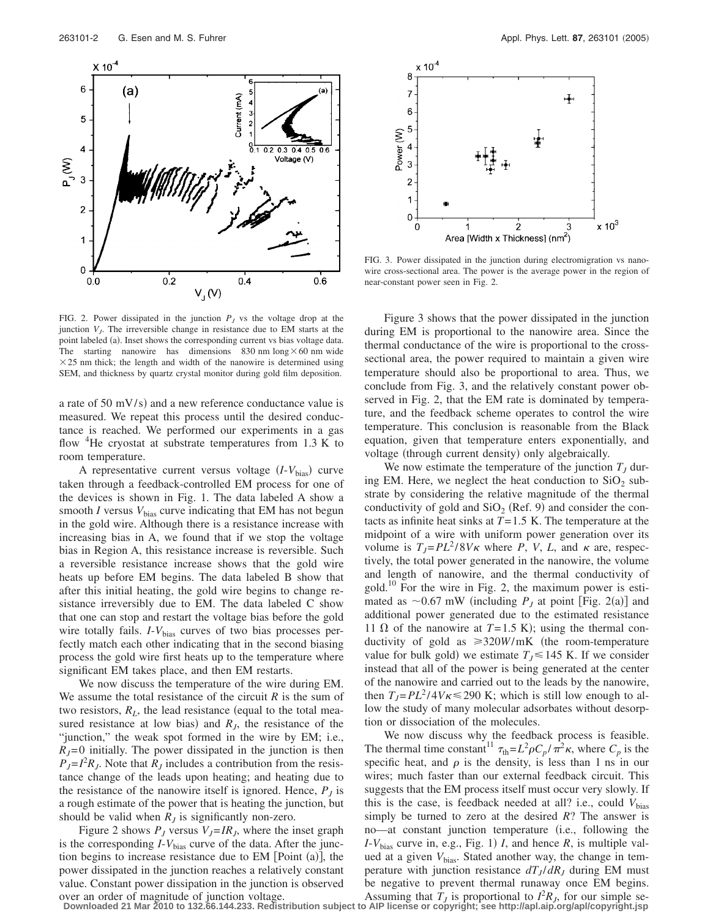

FIG. 2. Power dissipated in the junction  $P<sub>J</sub>$  vs the voltage drop at the junction  $V<sub>J</sub>$ . The irreversible change in resistance due to EM starts at the point labeled (a). Inset shows the corresponding current vs bias voltage data. The starting nanowire has dimensions 830 nm long $\times$ 60 nm wide  $\times$  25 nm thick; the length and width of the nanowire is determined using SEM, and thickness by quartz crystal monitor during gold film deposition.

a rate of 50 mV/s) and a new reference conductance value is measured. We repeat this process until the desired conductance is reached. We performed our experiments in a gas flow  ${}^{4}$ He cryostat at substrate temperatures from 1.3 K to room temperature.

A representative current versus voltage  $(I - V_{bias})$  curve taken through a feedback-controlled EM process for one of the devices is shown in Fig. 1. The data labeled A show a smooth *I* versus  $V_{bias}$  curve indicating that EM has not begun in the gold wire. Although there is a resistance increase with increasing bias in A, we found that if we stop the voltage bias in Region A, this resistance increase is reversible. Such a reversible resistance increase shows that the gold wire heats up before EM begins. The data labeled B show that after this initial heating, the gold wire begins to change resistance irreversibly due to EM. The data labeled C show that one can stop and restart the voltage bias before the gold wire totally fails. *I*-*V*bias curves of two bias processes perfectly match each other indicating that in the second biasing process the gold wire first heats up to the temperature where significant EM takes place, and then EM restarts.

We now discuss the temperature of the wire during EM. We assume the total resistance of the circuit  $R$  is the sum of two resistors,  $R_L$ , the lead resistance (equal to the total measured resistance at low bias) and  $R_J$ , the resistance of the "junction," the weak spot formed in the wire by EM; i.e.,  $R_J$ =0 initially. The power dissipated in the junction is then  $P_J = I^2 R_J$ . Note that  $R_J$  includes a contribution from the resistance change of the leads upon heating; and heating due to the resistance of the nanowire itself is ignored. Hence,  $P_j$  is a rough estimate of the power that is heating the junction, but should be valid when  $R<sub>I</sub>$  is significantly non-zero.

Figure 2 shows  $P_J$  versus  $V_J = IR_J$ , where the inset graph is the corresponding  $I-V_{bias}$  curve of the data. After the junction begins to increase resistance due to EM [Point (a)], the power dissipated in the junction reaches a relatively constant value. Constant power dissipation in the junction is observed over an order of magnitude of junction voltage. **Downloaded 21 Mar 2010 to 132.66.144.233. Redistribution subject to AIP license or copyright; see http://apl.aip.org/apl/copyright.jsp**



FIG. 3. Power dissipated in the junction during electromigration vs nanowire cross-sectional area. The power is the average power in the region of near-constant power seen in Fig. 2.

Figure 3 shows that the power dissipated in the junction during EM is proportional to the nanowire area. Since the thermal conductance of the wire is proportional to the crosssectional area, the power required to maintain a given wire temperature should also be proportional to area. Thus, we conclude from Fig. 3, and the relatively constant power observed in Fig. 2, that the EM rate is dominated by temperature, and the feedback scheme operates to control the wire temperature. This conclusion is reasonable from the Black equation, given that temperature enters exponentially, and voltage (through current density) only algebraically.

We now estimate the temperature of the junction  $T<sub>J</sub>$  during EM. Here, we neglect the heat conduction to  $SiO<sub>2</sub>$  substrate by considering the relative magnitude of the thermal conductivity of gold and  $SiO<sub>2</sub>$  (Ref. 9) and consider the contacts as infinite heat sinks at *T*= 1.5 K. The temperature at the midpoint of a wire with uniform power generation over its volume is  $T_J = PL^2/8V\kappa$  where *P*, *V*, *L*, and  $\kappa$  are, respectively, the total power generated in the nanowire, the volume and length of nanowire, and the thermal conductivity of gold. $10^{\circ}$  For the wire in Fig. 2, the maximum power is estimated as  $\sim 0.67$  mW (including  $P_J$  at point [Fig. 2(a)] and additional power generated due to the estimated resistance 11  $\Omega$  of the nanowire at *T*=1.5 K); using the thermal conductivity of gold as  $\geq 320W/mK$  (the room-temperature value for bulk gold) we estimate  $T_J \le 145$  K. If we consider instead that all of the power is being generated at the center of the nanowire and carried out to the leads by the nanowire, then  $T_J = PL^2 / 4V \kappa \le 290$  K; which is still low enough to allow the study of many molecular adsorbates without desorption or dissociation of the molecules.

We now discuss why the feedback process is feasible. The thermal time constant<sup>11</sup>  $\tau_{\text{th}} = L^2 \rho C_p / \bar{\pi}^2 \kappa$ , where  $C_p$  is the specific heat, and  $\rho$  is the density, is less than 1 ns in our wires; much faster than our external feedback circuit. This suggests that the EM process itself must occur very slowly. If this is the case, is feedback needed at all? i.e., could  $V_{bias}$ simply be turned to zero at the desired *R*? The answer is no—at constant junction temperature (i.e., following the  $I-V_{bias}$  curve in, e.g., Fig. 1) *I*, and hence *R*, is multiple valued at a given  $V_{bias}$ . Stated another way, the change in temperature with junction resistance  $dT_J/dR_J$  during EM must be negative to prevent thermal runaway once EM begins. Assuming that  $T_J$  is proportional to  $I^2R_J$ , for our simple se-